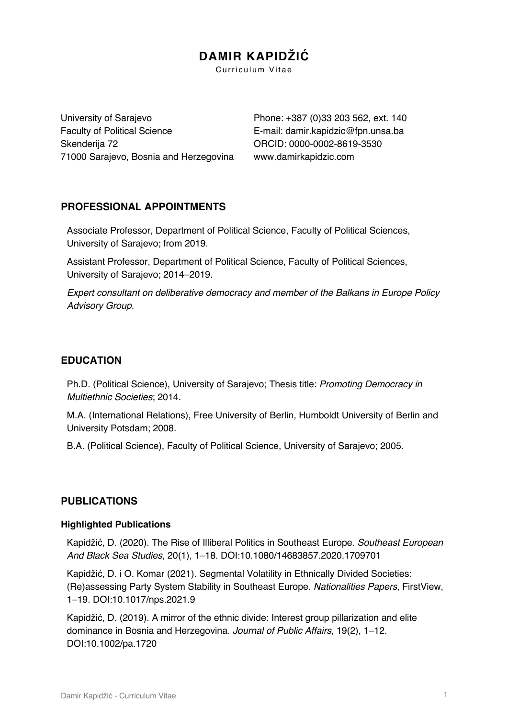# **DAMIR KAPIDŽIĆ**

Curriculum Vitae

University of Sarajevo Faculty of Political Science Skenderija 72 71000 Sarajevo, Bosnia and Herzegovina

Phone: +387 (0)33 203 562, ext. 140 E-mail: damir.kapidzic@fpn.unsa.ba ORCID: 0000-0002-8619-3530 www.damirkapidzic.com

# **PROFESSIONAL APPOINTMENTS**

Associate Professor, Department of Political Science, Faculty of Political Sciences, University of Sarajevo; from 2019.

Assistant Professor, Department of Political Science, Faculty of Political Sciences, University of Sarajevo; 2014–2019.

*Expert consultant on deliberative democracy and member of the Balkans in Europe Policy Advisory Group.*

# **EDUCATION**

Ph.D. (Political Science), University of Sarajevo; Thesis title: *Promoting Democracy in Multiethnic Societies*; 2014.

M.A. (International Relations), Free University of Berlin, Humboldt University of Berlin and University Potsdam; 2008.

B.A. (Political Science), Faculty of Political Science, University of Sarajevo; 2005.

# **PUBLICATIONS**

### **Highlighted Publications**

Kapidžić, D. (2020). The Rise of Illiberal Politics in Southeast Europe. *Southeast European And Black Sea Studies*, 20(1), 1–18. DOI:10.1080/14683857.2020.1709701

Kapidžić, D. i O. Komar (2021). Segmental Volatility in Ethnically Divided Societies: (Re)assessing Party System Stability in Southeast Europe. *Nationalities Papers*, FirstView, 1–19. DOI:10.1017/nps.2021.9

Kapidžić, D. (2019). A mirror of the ethnic divide: Interest group pillarization and elite dominance in Bosnia and Herzegovina. *Journal of Public Affairs*, 19(2), 1–12. DOI:10.1002/pa.1720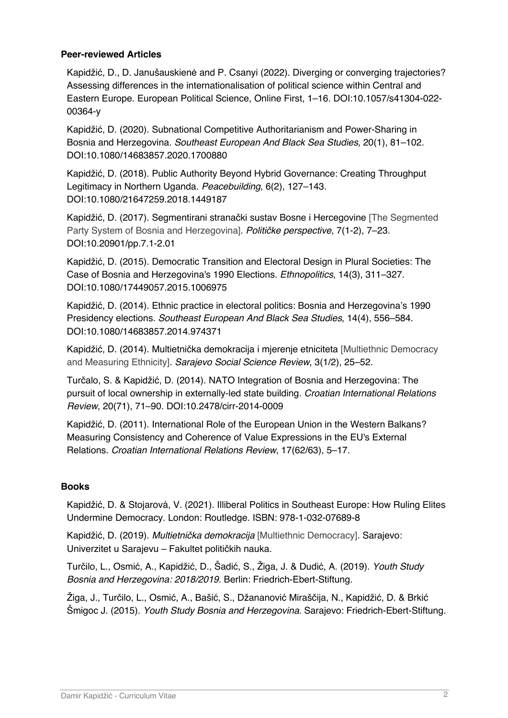### **Peer-reviewed Articles**

Kapidžić, D., D. Janušauskienė and P. Csanyi (2022). Diverging or converging trajectories? Assessing differences in the internationalisation of political science within Central and Eastern Europe. European Political Science, Online First, 1–16. DOI:10.1057/s41304-022- 00364-y

Kapidžić, D. (2020). Subnational Competitive Authoritarianism and Power-Sharing in Bosnia and Herzegovina. *Southeast European And Black Sea Studies*, 20(1), 81–102. DOI:10.1080/14683857.2020.1700880

Kapidžić, D. (2018). Public Authority Beyond Hybrid Governance: Creating Throughput Legitimacy in Northern Uganda. *Peacebuilding*, 6(2), 127–143. DOI:10.1080/21647259.2018.1449187

Kapidžić, D. (2017). Segmentirani stranački sustav Bosne i Hercegovine [The Segmented Party System of Bosnia and Herzegovina]. *Politi*č*ke perspective*, 7(1-2), 7–23. DOI:10.20901/pp.7.1-2.01

Kapidžić, D. (2015). Democratic Transition and Electoral Design in Plural Societies: The Case of Bosnia and Herzegovina's 1990 Elections. *Ethnopolitics*, 14(3), 311–327. DOI:10.1080/17449057.2015.1006975

Kapidžić, D. (2014). Ethnic practice in electoral politics: Bosnia and Herzegovina's 1990 Presidency elections. *Southeast European And Black Sea Studies*, 14(4), 556–584. DOI:10.1080/14683857.2014.974371

Kapidžić, D. (2014). Multietnička demokracija i mjerenje etniciteta [Multiethnic Democracy and Measuring Ethnicity]. *Sarajevo Social Science Review*, 3(1/2), 25–52.

Turčalo, S. & Kapidžić, D. (2014). NATO Integration of Bosnia and Herzegovina: The pursuit of local ownership in externally-led state building. *Croatian International Relations Review*, 20(71), 71–90. DOI:10.2478/cirr-2014-0009

Kapidžić, D. (2011). International Role of the European Union in the Western Balkans? Measuring Consistency and Coherence of Value Expressions in the EU's External Relations. *Croatian International Relations Review*, 17(62/63), 5–17.

### **Books**

Kapidžić, D. & Stojarová, V. (2021). Illiberal Politics in Southeast Europe: How Ruling Elites Undermine Democracy. London: Routledge. ISBN: 978-1-032-07689-8

Kapidžić, D. (2019). *Multietni*č*ka demokracija* [Multiethnic Democracy]. Sarajevo: Univerzitet u Sarajevu – Fakultet političkih nauka.

Turčilo, L., Osmić, A., Kapidžić, D., Šadić, S., Žiga, J. & Dudić, A. (2019). *Youth Study Bosnia and Herzegovina: 2018/2019*. Berlin: Friedrich-Ebert-Stiftung.

Žiga, J., Turčilo, L., Osmić, A., Bašić, S., Džananović Miraščija, N., Kapidžić, D. & Brkić Šmigoc J. (2015). *Youth Study Bosnia and Herzegovina*. Sarajevo: Friedrich-Ebert-Stiftung.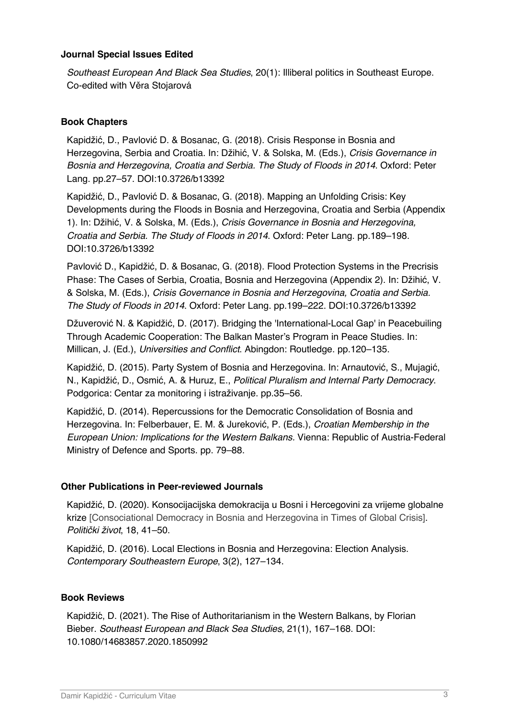#### **Journal Special Issues Edited**

*Southeast European And Black Sea Studies*, 20(1): Illiberal politics in Southeast Europe. Co-edited with Věra Stojarová

### **Book Chapters**

Kapidžić, D., Pavlović D. & Bosanac, G. (2018). Crisis Response in Bosnia and Herzegovina, Serbia and Croatia. In: Džihić, V. & Solska, M. (Eds.), *Crisis Governance in Bosnia and Herzegovina, Croatia and Serbia. The Study of Floods in 2014*. Oxford: Peter Lang. pp.27–57. DOI:10.3726/b13392

Kapidžić, D., Pavlović D. & Bosanac, G. (2018). Mapping an Unfolding Crisis: Key Developments during the Floods in Bosnia and Herzegovina, Croatia and Serbia (Appendix 1). In: Džihić, V. & Solska, M. (Eds.), *Crisis Governance in Bosnia and Herzegovina, Croatia and Serbia. The Study of Floods in 2014*. Oxford: Peter Lang. pp.189–198. DOI:10.3726/b13392

Pavlović D., Kapidžić, D. & Bosanac, G. (2018). Flood Protection Systems in the Precrisis Phase: The Cases of Serbia, Croatia, Bosnia and Herzegovina (Appendix 2). In: Džihić, V. & Solska, M. (Eds.), *Crisis Governance in Bosnia and Herzegovina, Croatia and Serbia. The Study of Floods in 2014*. Oxford: Peter Lang. pp.199–222. DOI:10.3726/b13392

Džuverović N. & Kapidžić, D. (2017). Bridging the 'International-Local Gap' in Peacebuiling Through Academic Cooperation: The Balkan Master's Program in Peace Studies. In: Millican, J. (Ed.), *Universities and Conflict*. Abingdon: Routledge. pp.120–135.

Kapidžić, D. (2015). Party System of Bosnia and Herzegovina. In: Arnautović, S., Mujagić, N., Kapidžić, D., Osmić, A. & Huruz, E., *Political Pluralism and Internal Party Democracy*. Podgorica: Centar za monitoring i istraživanje. pp.35–56.

Kapidžić, D. (2014). Repercussions for the Democratic Consolidation of Bosnia and Herzegovina. In: Felberbauer, E. M. & Jureković, P. (Eds.), *Croatian Membership in the European Union: Implications for the Western Balkans.* Vienna: Republic of Austria-Federal Ministry of Defence and Sports. pp. 79–88.

### **Other Publications in Peer-reviewed Journals**

Kapidžić, D. (2020). Konsocijacijska demokracija u Bosni i Hercegovini za vrijeme globalne krize [Consociational Democracy in Bosnia and Herzegovina in Times of Global Crisis]. *Politi*č*ki* ž*ivot*, 18, 41–50.

Kapidžić, D. (2016). Local Elections in Bosnia and Herzegovina: Election Analysis. *Contemporary Southeastern Europe*, 3(2), 127–134.

### **Book Reviews**

Kapidžić, D. (2021). The Rise of Authoritarianism in the Western Balkans, by Florian Bieber. *Southeast European and Black Sea Studies*, 21(1), 167–168. DOI: 10.1080/14683857.2020.1850992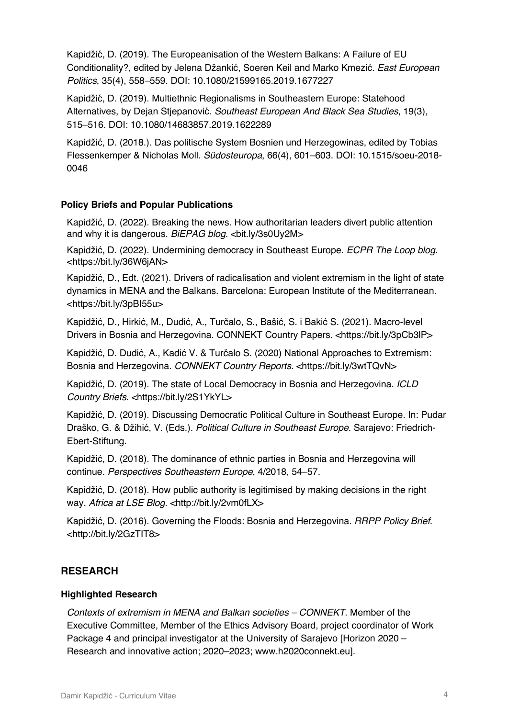Kapidžić, D. (2019). The Europeanisation of the Western Balkans: A Failure of EU Conditionality?, edited by Jelena Džankić, Soeren Keil and Marko Kmezić. *East European Politics*, 35(4), 558–559. DOI: 10.1080/21599165.2019.1677227

Kapidžić, D. (2019). Multiethnic Regionalisms in Southeastern Europe: Statehood Alternatives, by Dejan Stjepanovic. ́ *Southeast European And Black Sea Studies*, 19(3), 515–516. DOI: 10.1080/14683857.2019.1622289

Kapidžić, D. (2018.). Das politische System Bosnien und Herzegowinas, edited by Tobias Flessenkemper & Nicholas Moll. *Südosteuropa*, 66(4), 601–603. DOI: 10.1515/soeu-2018- 0046

### **Policy Briefs and Popular Publications**

Kapidžić, D. (2022). Breaking the news. How authoritarian leaders divert public attention and why it is dangerous. BiEPAG blog. <br/>bit.ly/3s0Uy2M>

Kapidžić, D. (2022). Undermining democracy in Southeast Europe. *ECPR The Loop blog*. <https://bit.ly/36W6jAN>

Kapidžić, D., Edt. (2021). Drivers of radicalisation and violent extremism in the light of state dynamics in MENA and the Balkans. Barcelona: European Institute of the Mediterranean. <https://bit.ly/3pBI55u>

Kapidžić, D., Hirkić, M., Dudić, A., Turčalo, S., Bašić, S. i Bakić S. (2021). Macro-level Drivers in Bosnia and Herzegovina. CONNEKT Country Papers. <https://bit.ly/3pCb3lP>

Kapidžić, D. Dudić, A., Kadić V. & Turčalo S. (2020) National Approaches to Extremism: Bosnia and Herzegovina. *CONNEKT Country Reports*. <https://bit.ly/3wtTQvN>

Kapidžić, D. (2019). The state of Local Democracy in Bosnia and Herzegovina. *ICLD Country Briefs*. <https://bit.ly/2S1YkYL>

Kapidžić, D. (2019). Discussing Democratic Political Culture in Southeast Europe. In: Pudar Draško, G. & Džihić, V. (Eds.). *Political Culture in Southeast Europe*. Sarajevo: Friedrich-Ebert-Stiftung.

Kapidžić, D. (2018). The dominance of ethnic parties in Bosnia and Herzegovina will continue. *Perspectives Southeastern Europe*, 4/2018, 54–57.

Kapidžić, D. (2018). How public authority is legitimised by making decisions in the right way. Africa at LSE Blog. <http://bit.ly/2vm0fLX>

Kapidžić, D. (2016). Governing the Floods: Bosnia and Herzegovina. *RRPP Policy Brief*. <http://bit.ly/2GzTIT8>

# **RESEARCH**

### **Highlighted Research**

*Contexts of extremism in MENA and Balkan societies – CONNEKT*. Member of the Executive Committee, Member of the Ethics Advisory Board, project coordinator of Work Package 4 and principal investigator at the University of Sarajevo [Horizon 2020 – Research and innovative action; 2020–2023; www.h2020connekt.eu].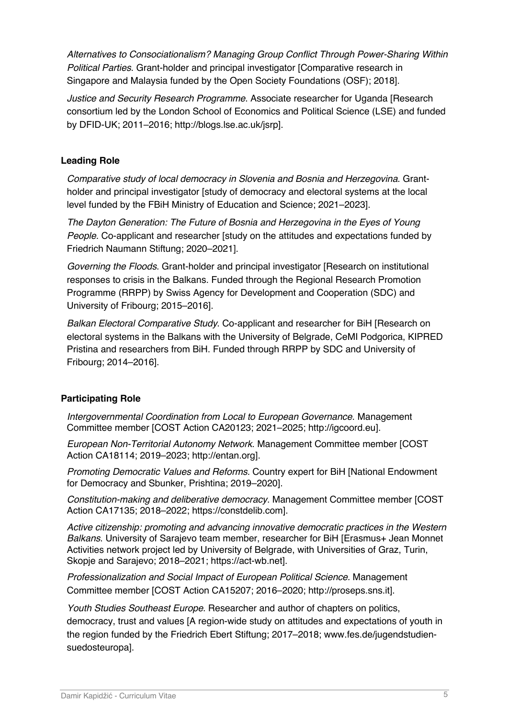*Alternatives to Consociationalism? Managing Group Conflict Through Power-Sharing Within Political Parties*. Grant-holder and principal investigator [Comparative research in Singapore and Malaysia funded by the Open Society Foundations (OSF); 2018].

*Justice and Security Research Programme*. Associate researcher for Uganda [Research consortium led by the London School of Economics and Political Science (LSE) and funded by DFID-UK; 2011–2016; http://blogs.lse.ac.uk/jsrp].

### **Leading Role**

*Comparative study of local democracy in Slovenia and Bosnia and Herzegovina*. Grantholder and principal investigator [study of democracy and electoral systems at the local level funded by the FBiH Ministry of Education and Science; 2021–2023].

*The Dayton Generation: The Future of Bosnia and Herzegovina in the Eyes of Young People.* Co-applicant and researcher [study on the attitudes and expectations funded by Friedrich Naumann Stiftung; 2020–2021].

*Governing the Floods*. Grant-holder and principal investigator [Research on institutional responses to crisis in the Balkans. Funded through the Regional Research Promotion Programme (RRPP) by Swiss Agency for Development and Cooperation (SDC) and University of Fribourg; 2015–2016].

*Balkan Electoral Comparative Study*. Co-applicant and researcher for BiH [Research on electoral systems in the Balkans with the University of Belgrade, CeMI Podgorica, KIPRED Pristina and researchers from BiH. Funded through RRPP by SDC and University of Fribourg; 2014–2016].

# **Participating Role**

*Intergovernmental Coordination from Local to European Governance*. Management Committee member [COST Action CA20123; 2021–2025; http://igcoord.eu].

*European Non-Territorial Autonomy Network*. Management Committee member [COST Action CA18114; 2019–2023; http://entan.org].

*Promoting Democratic Values and Reforms.* Country expert for BiH [National Endowment for Democracy and Sbunker, Prishtina; 2019–2020].

*Constitution-making and deliberative democracy*. Management Committee member [COST Action CA17135; 2018–2022; https://constdelib.com].

*Active citizenship: promoting and advancing innovative democratic practices in the Western Balkans*. University of Sarajevo team member, researcher for BiH [Erasmus+ Jean Monnet Activities network project led by University of Belgrade, with Universities of Graz, Turin, Skopje and Sarajevo; 2018–2021; https://act-wb.net].

*Professionalization and Social Impact of European Political Science.* Management Committee member [COST Action CA15207; 2016–2020; http://proseps.sns.it].

*Youth Studies Southeast Europe*. Researcher and author of chapters on politics, democracy, trust and values [A region-wide study on attitudes and expectations of youth in the region funded by the Friedrich Ebert Stiftung; 2017–2018; www.fes.de/jugendstudiensuedosteuropa].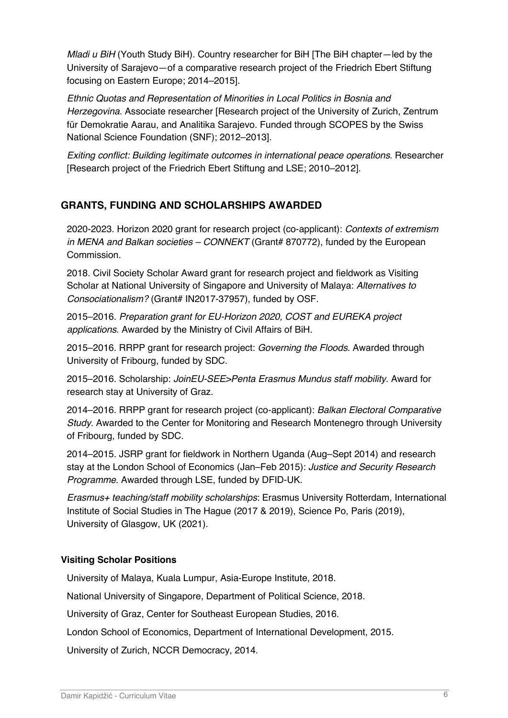*Mladi u BiH* (Youth Study BiH). Country researcher for BiH [The BiH chapter-led by the University of Sarajevo—of a comparative research project of the Friedrich Ebert Stiftung focusing on Eastern Europe; 2014–2015].

*Ethnic Quotas and Representation of Minorities in Local Politics in Bosnia and Herzegovina*. Associate researcher [Research project of the University of Zurich, Zentrum für Demokratie Aarau, and Analitika Sarajevo. Funded through SCOPES by the Swiss National Science Foundation (SNF); 2012–2013].

*Exiting conflict: Building legitimate outcomes in international peace operations*. Researcher [Research project of the Friedrich Ebert Stiftung and LSE; 2010–2012].

# **GRANTS, FUNDING AND SCHOLARSHIPS AWARDED**

2020-2023. Horizon 2020 grant for research project (co-applicant): *Contexts of extremism in MENA and Balkan societies – CONNEKT* (Grant# 870772), funded by the European Commission.

2018. Civil Society Scholar Award grant for research project and fieldwork as Visiting Scholar at National University of Singapore and University of Malaya: *Alternatives to Consociationalism?* (Grant# IN2017-37957), funded by OSF.

2015–2016. *Preparation grant for EU-Horizon 2020, COST and EUREKA project applications*. Awarded by the Ministry of Civil Affairs of BiH.

2015–2016. RRPP grant for research project: *Governing the Floods*. Awarded through University of Fribourg, funded by SDC.

2015–2016. Scholarship: *JoinEU-SEE>Penta Erasmus Mundus staff mobility*. Award for research stay at University of Graz.

2014–2016. RRPP grant for research project (co-applicant): *Balkan Electoral Comparative Study*. Awarded to the Center for Monitoring and Research Montenegro through University of Fribourg, funded by SDC.

2014–2015. JSRP grant for fieldwork in Northern Uganda (Aug–Sept 2014) and research stay at the London School of Economics (Jan–Feb 2015): *Justice and Security Research Programme*. Awarded through LSE, funded by DFID-UK.

*Erasmus+ teaching/staff mobility scholarships*: Erasmus University Rotterdam, International Institute of Social Studies in The Hague (2017 & 2019), Science Po, Paris (2019), University of Glasgow, UK (2021).

# **Visiting Scholar Positions**

University of Malaya, Kuala Lumpur, Asia-Europe Institute, 2018.

National University of Singapore, Department of Political Science, 2018.

University of Graz, Center for Southeast European Studies, 2016.

London School of Economics, Department of International Development, 2015.

University of Zurich, NCCR Democracy, 2014.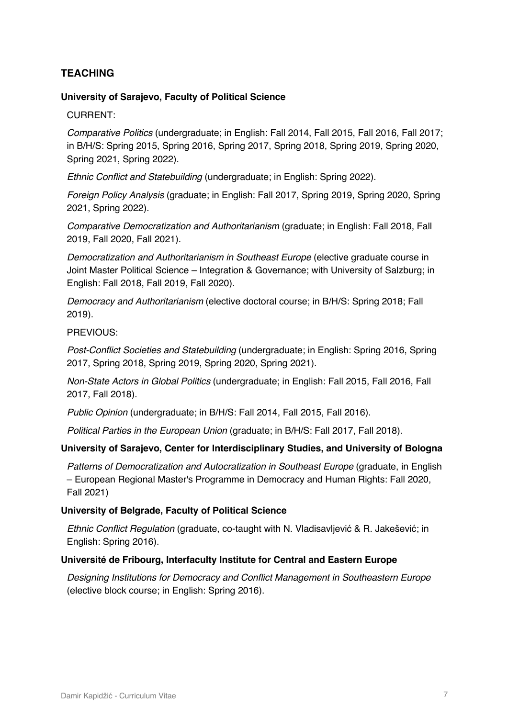# **TEACHING**

#### **University of Sarajevo, Faculty of Political Science**

CURRENT:

*Comparative Politics* (undergraduate; in English: Fall 2014, Fall 2015, Fall 2016, Fall 2017; in B/H/S: Spring 2015, Spring 2016, Spring 2017, Spring 2018, Spring 2019, Spring 2020, Spring 2021, Spring 2022).

*Ethnic Conflict and Statebuilding* (undergraduate; in English: Spring 2022).

*Foreign Policy Analysis* (graduate; in English: Fall 2017, Spring 2019, Spring 2020, Spring 2021, Spring 2022).

*Comparative Democratization and Authoritarianism* (graduate; in English: Fall 2018, Fall 2019, Fall 2020, Fall 2021).

*Democratization and Authoritarianism in Southeast Europe* (elective graduate course in Joint Master Political Science – Integration & Governance; with University of Salzburg; in English: Fall 2018, Fall 2019, Fall 2020).

*Democracy and Authoritarianism* (elective doctoral course; in B/H/S: Spring 2018; Fall 2019).

PREVIOUS:

*Post-Conflict Societies and Statebuilding* (undergraduate; in English: Spring 2016, Spring 2017, Spring 2018, Spring 2019, Spring 2020, Spring 2021).

*Non-State Actors in Global Politics* (undergraduate; in English: Fall 2015, Fall 2016, Fall 2017, Fall 2018).

*Public Opinion* (undergraduate; in B/H/S: Fall 2014, Fall 2015, Fall 2016).

*Political Parties in the European Union* (graduate; in B/H/S: Fall 2017, Fall 2018).

#### **University of Sarajevo, Center for Interdisciplinary Studies, and University of Bologna**

*Patterns of Democratization and Autocratization in Southeast Europe* (graduate, in English – European Regional Master's Programme in Democracy and Human Rights: Fall 2020, Fall 2021)

#### **University of Belgrade, Faculty of Political Science**

*Ethnic Conflict Regulation* (graduate, co-taught with N. Vladisavljević & R. Jakešević; in English: Spring 2016).

#### **Université de Fribourg, Interfaculty Institute for Central and Eastern Europe**

*Designing Institutions for Democracy and Conflict Management in Southeastern Europe*  (elective block course; in English: Spring 2016).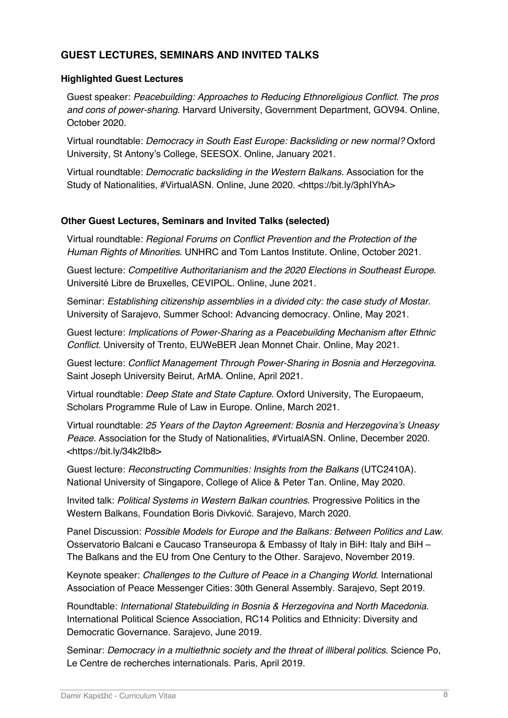# **GUEST LECTURES, SEMINARS AND INVITED TALKS**

### **Highlighted Guest Lectures**

Guest speaker: *Peacebuilding: Approaches to Reducing Ethnoreligious Conflict. The pros and cons of power-sharing*. Harvard University, Government Department, GOV94. Online, October 2020.

Virtual roundtable: *Democracy in South East Europe: Backsliding or new normal?* Oxford University, St Antony's College, SEESOX. Online, January 2021.

Virtual roundtable: *Democratic backsliding in the Western Balkans.* Association for the Study of Nationalities, #VirtualASN. Online, June 2020. <https://bit.ly/3phIYhA>

#### **Other Guest Lectures, Seminars and Invited Talks (selected)**

Virtual roundtable: *Regional Forums on Conflict Prevention and the Protection of the Human Rights of Minorities*. UNHRC and Tom Lantos Institute. Online, October 2021.

Guest lecture: *Competitive Authoritarianism and the 2020 Elections in Southeast Europe*. UniversitéLibre de Bruxelles, CEVIPOL. Online, June 2021.

Seminar: *Establishing citizenship assemblies in a divided city: the case study of Mostar.* University of Sarajevo, Summer School: Advancing democracy. Online, May 2021.

Guest lecture: *Implications of Power-Sharing as a Peacebuilding Mechanism after Ethnic Conflict*. University of Trento, EUWeBER Jean Monnet Chair. Online, May 2021.

Guest lecture: *Conflict Management Through Power-Sharing in Bosnia and Herzegovina*. Saint Joseph University Beirut, ArMA. Online, April 2021.

Virtual roundtable: *Deep State and State Capture*. Oxford University, The Europaeum, Scholars Programme Rule of Law in Europe. Online, March 2021.

Virtual roundtable: *25 Years of the Dayton Agreement: Bosnia and Herzegovina's Uneasy Peace.* Association for the Study of Nationalities, #VirtualASN. Online, December 2020. <https://bit.ly/34k2Ib8>

Guest lecture: *Reconstructing Communities: Insights from the Balkans* (UTC2410A). National University of Singapore, College of Alice & Peter Tan. Online, May 2020.

Invited talk: *Political Systems in Western Balkan countries*. Progressive Politics in the Western Balkans, Foundation Boris Divković. Sarajevo, March 2020.

Panel Discussion: *Possible Models for Europe and the Balkans: Between Politics and Law*. Osservatorio Balcani e Caucaso Transeuropa & Embassy of Italy in BiH: Italy and BiH – The Balkans and the EU from One Century to the Other. Sarajevo, November 2019.

Keynote speaker: *Challenges to the Culture of Peace in a Changing World*. International Association of Peace Messenger Cities: 30th General Assembly. Sarajevo, Sept 2019.

Roundtable: *International Statebuilding in Bosnia & Herzegovina and North Macedonia*. International Political Science Association, RC14 Politics and Ethnicity: Diversity and Democratic Governance. Sarajevo, June 2019.

Seminar: *Democracy in a multiethnic society and the threat of illiberal politics*. Science Po, Le Centre de recherches internationals. Paris, April 2019.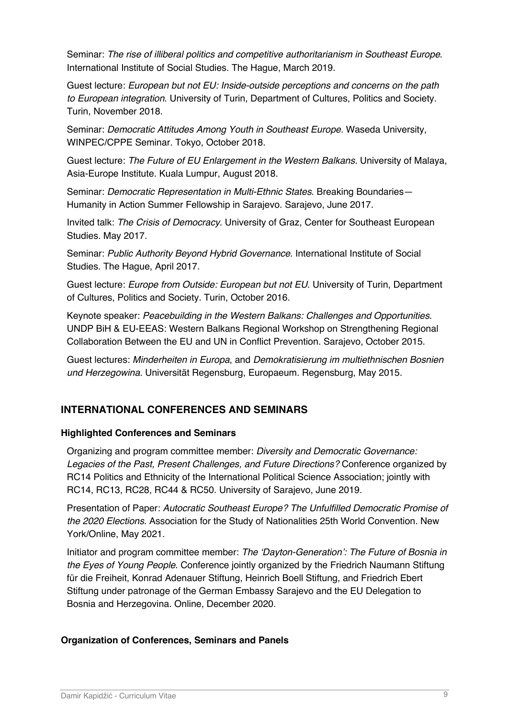Seminar: *The rise of illiberal politics and competitive authoritarianism in Southeast Europe*. International Institute of Social Studies. The Hague, March 2019.

Guest lecture: *European but not EU: Inside-outside perceptions and concerns on the path to European integration*. University of Turin, Department of Cultures, Politics and Society. Turin, November 2018.

Seminar: *Democratic Attitudes Among Youth in Southeast Europe.* Waseda University, WINPEC/CPPE Seminar. Tokyo, October 2018.

Guest lecture: *The Future of EU Enlargement in the Western Balkans.* University of Malaya, Asia-Europe Institute. Kuala Lumpur, August 2018.

Seminar: *Democratic Representation in Multi-Ethnic States*. Breaking Boundaries— Humanity in Action Summer Fellowship in Sarajevo. Sarajevo, June 2017.

Invited talk: *The Crisis of Democracy*. University of Graz, Center for Southeast European Studies. May 2017.

Seminar: *Public Authority Beyond Hybrid Governance*. International Institute of Social Studies. The Hague, April 2017.

Guest lecture: *Europe from Outside: European but not EU*. University of Turin, Department of Cultures, Politics and Society. Turin, October 2016.

Keynote speaker: *Peacebuilding in the Western Balkans: Challenges and Opportunities*. UNDP BiH & EU-EEAS: Western Balkans Regional Workshop on Strengthening Regional Collaboration Between the EU and UN in Conflict Prevention. Sarajevo, October 2015.

Guest lectures: *Minderheiten in Europa*, and *Demokratisierung im multiethnischen Bosnien und Herzegowina*. Universität Regensburg, Europaeum. Regensburg, May 2015.

# **INTERNATIONAL CONFERENCES AND SEMINARS**

# **Highlighted Conferences and Seminars**

Organizing and program committee member: *Diversity and Democratic Governance: Legacies of the Past, Present Challenges, and Future Directions?* Conference organized by RC14 Politics and Ethnicity of the International Political Science Association; jointly with RC14, RC13, RC28, RC44 & RC50. University of Sarajevo, June 2019.

Presentation of Paper: *Autocratic Southeast Europe? The Unfulfilled Democratic Promise of the 2020 Elections*. Association for the Study of Nationalities 25th World Convention. New York/Online, May 2021.

Initiator and program committee member: *The 'Dayton-Generation': The Future of Bosnia in the Eyes of Young People*. Conference jointly organized by the Friedrich Naumann Stiftung für die Freiheit, Konrad Adenauer Stiftung, Heinrich Boell Stiftung, and Friedrich Ebert Stiftung under patronage of the German Embassy Sarajevo and the EU Delegation to Bosnia and Herzegovina. Online, December 2020.

# **Organization of Conferences, Seminars and Panels**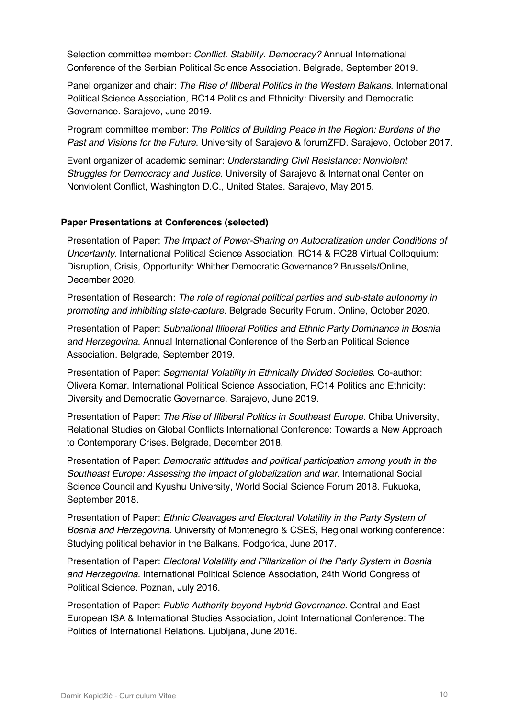Selection committee member: *Conflict. Stability. Democracy?* Annual International Conference of the Serbian Political Science Association. Belgrade, September 2019.

Panel organizer and chair: *The Rise of Illiberal Politics in the Western Balkans*. International Political Science Association, RC14 Politics and Ethnicity: Diversity and Democratic Governance. Sarajevo, June 2019.

Program committee member: *The Politics of Building Peace in the Region: Burdens of the Past and Visions for the Future*. University of Sarajevo & forumZFD. Sarajevo, October 2017.

Event organizer of academic seminar: *Understanding Civil Resistance: Nonviolent Struggles for Democracy and Justice*. University of Sarajevo & International Center on Nonviolent Conflict, Washington D.C., United States. Sarajevo, May 2015.

#### **Paper Presentations at Conferences (selected)**

Presentation of Paper: *The Impact of Power-Sharing on Autocratization under Conditions of Uncertainty*. International Political Science Association, RC14 & RC28 Virtual Colloquium: Disruption, Crisis, Opportunity: Whither Democratic Governance? Brussels/Online, December 2020.

Presentation of Research: *The role of regional political parties and sub-state autonomy in promoting and inhibiting state-capture*. Belgrade Security Forum. Online, October 2020.

Presentation of Paper: *Subnational Illiberal Politics and Ethnic Party Dominance in Bosnia and Herzegovina*. Annual International Conference of the Serbian Political Science Association. Belgrade, September 2019.

Presentation of Paper: *Segmental Volatility in Ethnically Divided Societies*. Co-author: Olivera Komar. International Political Science Association, RC14 Politics and Ethnicity: Diversity and Democratic Governance. Sarajevo, June 2019.

Presentation of Paper: *The Rise of Illiberal Politics in Southeast Europe*. Chiba University, Relational Studies on Global Conflicts International Conference: Towards a New Approach to Contemporary Crises. Belgrade, December 2018.

Presentation of Paper: *Democratic attitudes and political participation among youth in the Southeast Europe: Assessing the impact of globalization and war*. International Social Science Council and Kyushu University, World Social Science Forum 2018. Fukuoka, September 2018.

Presentation of Paper: *Ethnic Cleavages and Electoral Volatility in the Party System of Bosnia and Herzegovina*. University of Montenegro & CSES, Regional working conference: Studying political behavior in the Balkans. Podgorica, June 2017.

Presentation of Paper: *Electoral Volatility and Pillarization of the Party System in Bosnia and Herzegovina*. International Political Science Association, 24th World Congress of Political Science. Poznan, July 2016.

Presentation of Paper: *Public Authority beyond Hybrid Governance*. Central and East European ISA & International Studies Association, Joint International Conference: The Politics of International Relations. Ljubljana, June 2016.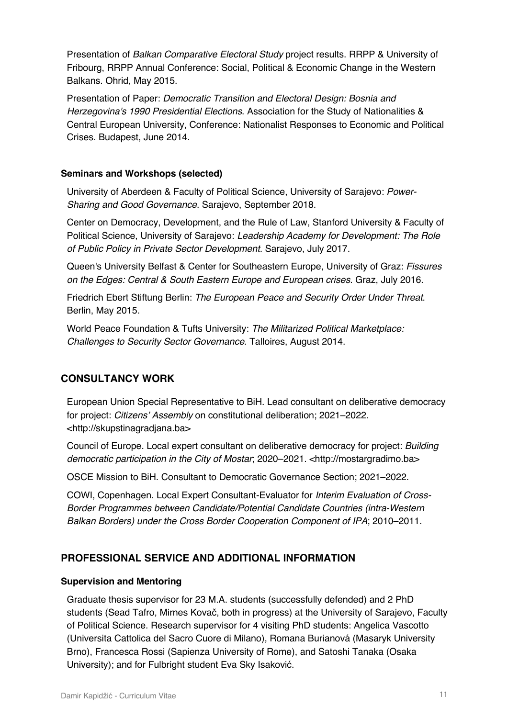Presentation of *Balkan Comparative Electoral Study* project results. RRPP & University of Fribourg, RRPP Annual Conference: Social, Political & Economic Change in the Western Balkans. Ohrid, May 2015.

Presentation of Paper: *Democratic Transition and Electoral Design: Bosnia and Herzegovina's 1990 Presidential Elections*. Association for the Study of Nationalities & Central European University, Conference: Nationalist Responses to Economic and Political Crises. Budapest, June 2014.

### **Seminars and Workshops (selected)**

University of Aberdeen & Faculty of Political Science, University of Sarajevo: *Power-Sharing and Good Governance*. Sarajevo, September 2018.

Center on Democracy, Development, and the Rule of Law, Stanford University & Faculty of Political Science, University of Sarajevo: *Leadership Academy for Development: The Role of Public Policy in Private Sector Development*. Sarajevo, July 2017.

Queen's University Belfast & Center for Southeastern Europe, University of Graz: *Fissures on the Edges: Central & South Eastern Europe and European crises*. Graz, July 2016.

Friedrich Ebert Stiftung Berlin: *The European Peace and Security Order Under Threat*. Berlin, May 2015.

World Peace Foundation & Tufts University: *The Militarized Political Marketplace: Challenges to Security Sector Governance*. Talloires, August 2014.

# **CONSULTANCY WORK**

European Union Special Representative to BiH. Lead consultant on deliberative democracy for project: *Citizens' Assembly* on constitutional deliberation; 2021–2022. <http://skupstinagradjana.ba>

Council of Europe. Local expert consultant on deliberative democracy for project: *Building democratic participation in the City of Mostar*; 2020–2021. <http://mostargradimo.ba>

OSCE Mission to BiH. Consultant to Democratic Governance Section; 2021–2022.

COWI, Copenhagen. Local Expert Consultant-Evaluator for *Interim Evaluation of Cross-Border Programmes between Candidate/Potential Candidate Countries (intra-Western Balkan Borders) under the Cross Border Cooperation Component of IPA*; 2010–2011.

# **PROFESSIONAL SERVICE AND ADDITIONAL INFORMATION**

### **Supervision and Mentoring**

Graduate thesis supervisor for 23 M.A. students (successfully defended) and 2 PhD students (Sead Tafro, Mirnes Kovač, both in progress) at the University of Sarajevo, Faculty of Political Science. Research supervisor for 4 visiting PhD students: Angelica Vascotto (Universita Cattolica del Sacro Cuore di Milano), Romana Burianová (Masaryk University Brno), Francesca Rossi (Sapienza University of Rome), and Satoshi Tanaka (Osaka University); and for Fulbright student Eva Sky Isaković.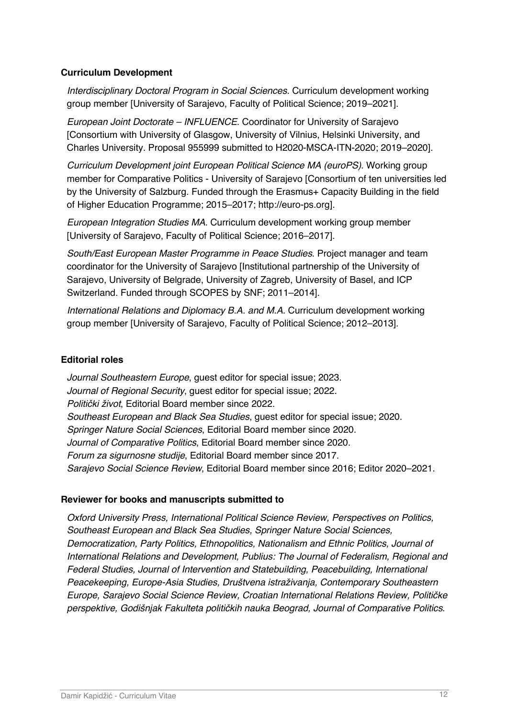### **Curriculum Development**

*Interdisciplinary Doctoral Program in Social Sciences.* Curriculum development working group member [University of Sarajevo, Faculty of Political Science; 2019–2021].

*European Joint Doctorate – INFLUENCE*. Coordinator for University of Sarajevo [Consortium with University of Glasgow, University of Vilnius, Helsinki University, and Charles University. Proposal 955999 submitted to H2020-MSCA-ITN-2020; 2019–2020].

*Curriculum Development joint European Political Science MA (euroPS)*. Working group member for Comparative Politics - University of Sarajevo [Consortium of ten universities led by the University of Salzburg. Funded through the Erasmus+ Capacity Building in the field of Higher Education Programme; 2015–2017; http://euro-ps.org].

*European Integration Studies MA.* Curriculum development working group member [University of Sarajevo, Faculty of Political Science; 2016–2017].

*South/East European Master Programme in Peace Studies*. Project manager and team coordinator for the University of Sarajevo [Institutional partnership of the University of Sarajevo, University of Belgrade, University of Zagreb, University of Basel, and ICP Switzerland. Funded through SCOPES by SNF; 2011–2014].

*International Relations and Diplomacy B.A. and M.A.* Curriculum development working group member [University of Sarajevo, Faculty of Political Science; 2012–2013].

#### **Editorial roles**

*Journal Southeastern Europe*, guest editor for special issue; 2023. *Journal of Regional Security*, guest editor for special issue; 2022. *Politi*č*ki* ž*ivot*, Editorial Board member since 2022. *Southeast European and Black Sea Studies*, guest editor for special issue; 2020. *Springer Nature Social Sciences*, Editorial Board member since 2020. *Journal of Comparative Politics*, Editorial Board member since 2020. *Forum za sigurnosne studije*, Editorial Board member since 2017. *Sarajevo Social Science Review*, Editorial Board member since 2016; Editor 2020–2021.

#### **Reviewer for books and manuscripts submitted to**

*Oxford University Press, International Political Science Review, Perspectives on Politics, Southeast European and Black Sea Studies, Springer Nature Social Sciences, Democratization, Party Politics, Ethnopolitics, Nationalism and Ethnic Politics, Journal of International Relations and Development, Publius: The Journal of Federalism, Regional and Federal Studies, Journal of Intervention and Statebuilding, Peacebuilding, International Peacekeeping, Europe-Asia Studies, Dru*š*tvena istra*ž*ivanja, Contemporary Southeastern Europe, Sarajevo Social Science Review, Croatian International Relations Review, Politi*č*ke perspektive, Godi*š*njak Fakulteta politi*č*kih nauka Beograd, Journal of Comparative Politics*.